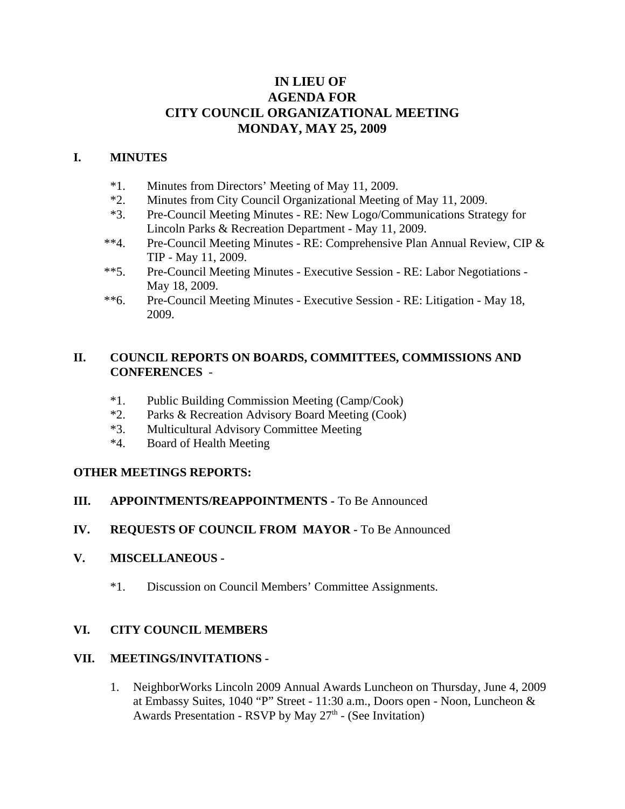# **IN LIEU OF AGENDA FOR CITY COUNCIL ORGANIZATIONAL MEETING MONDAY, MAY 25, 2009**

### **I. MINUTES**

- \*1. Minutes from Directors' Meeting of May 11, 2009.
- \*2. Minutes from City Council Organizational Meeting of May 11, 2009.
- \*3. Pre-Council Meeting Minutes RE: New Logo/Communications Strategy for Lincoln Parks & Recreation Department - May 11, 2009.
- \*\*4. Pre-Council Meeting Minutes RE: Comprehensive Plan Annual Review, CIP & TIP - May 11, 2009.
- \*\*5. Pre-Council Meeting Minutes Executive Session RE: Labor Negotiations May 18, 2009.
- \*\*6. Pre-Council Meeting Minutes Executive Session RE: Litigation May 18, 2009.

### **II. COUNCIL REPORTS ON BOARDS, COMMITTEES, COMMISSIONS AND CONFERENCES** -

- \*1. Public Building Commission Meeting (Camp/Cook)
- \*2. Parks & Recreation Advisory Board Meeting (Cook)
- \*3. Multicultural Advisory Committee Meeting
- \*4. Board of Health Meeting

# **OTHER MEETINGS REPORTS:**

- **III. APPOINTMENTS/REAPPOINTMENTS -** To Be Announced
- **IV. REQUESTS OF COUNCIL FROM MAYOR -** To Be Announced

#### **V. MISCELLANEOUS -**

\*1. Discussion on Council Members' Committee Assignments.

# **VI. CITY COUNCIL MEMBERS**

#### **VII. MEETINGS/INVITATIONS -**

1. NeighborWorks Lincoln 2009 Annual Awards Luncheon on Thursday, June 4, 2009 at Embassy Suites, 1040 "P" Street - 11:30 a.m., Doors open - Noon, Luncheon & Awards Presentation - RSVP by May  $27<sup>th</sup>$  - (See Invitation)